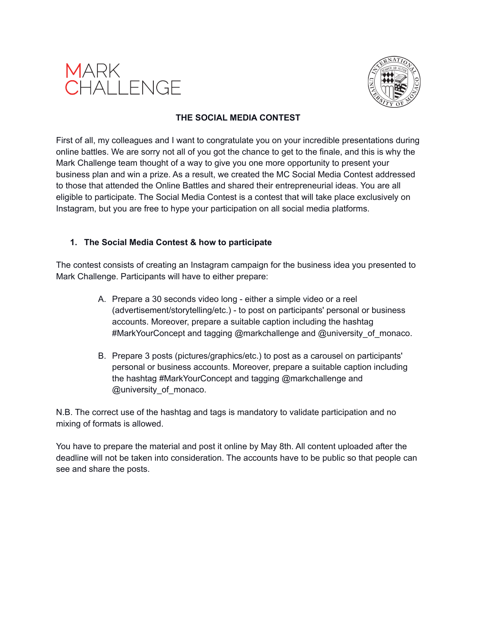



#### **THE SOCIAL MEDIA CONTEST**

First of all, my colleagues and I want to congratulate you on your incredible presentations during online battles. We are sorry not all of you got the chance to get to the finale, and this is why the Mark Challenge team thought of a way to give you one more opportunity to present your business plan and win a prize. As a result, we created the MC Social Media Contest addressed to those that attended the Online Battles and shared their entrepreneurial ideas. You are all eligible to participate. The Social Media Contest is a contest that will take place exclusively on Instagram, but you are free to hype your participation on all social media platforms.

### **1. The Social Media Contest & how to participate**

The contest consists of creating an Instagram campaign for the business idea you presented to Mark Challenge. Participants will have to either prepare:

- A. Prepare a 30 seconds video long either a simple video or a reel (advertisement/storytelling/etc.) - to post on participants' personal or business accounts. Moreover, prepare a suitable caption including the hashtag #MarkYourConcept and tagging @markchallenge and @university\_of\_monaco.
- B. Prepare 3 posts (pictures/graphics/etc.) to post as a carousel on participants' personal or business accounts. Moreover, prepare a suitable caption including the hashtag #MarkYourConcept and tagging @markchallenge and @university\_of\_monaco.

N.B. The correct use of the hashtag and tags is mandatory to validate participation and no mixing of formats is allowed.

You have to prepare the material and post it online by May 8th. All content uploaded after the deadline will not be taken into consideration. The accounts have to be public so that people can see and share the posts.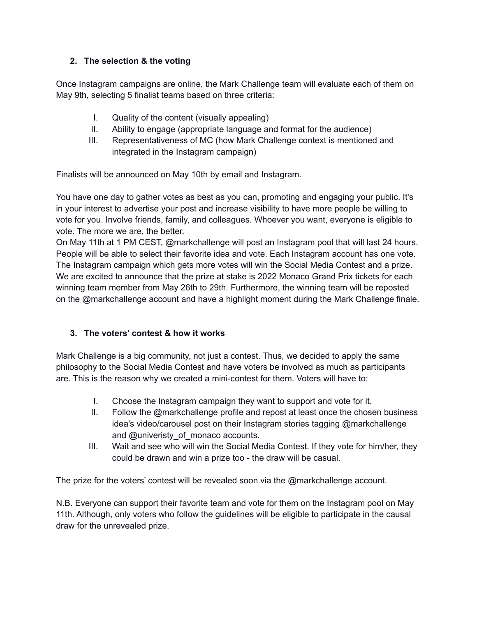# **2. The selection & the voting**

Once Instagram campaigns are online, the Mark Challenge team will evaluate each of them on May 9th, selecting 5 finalist teams based on three criteria:

- I. Quality of the content (visually appealing)
- II. Ability to engage (appropriate language and format for the audience)
- III. Representativeness of MC (how Mark Challenge context is mentioned and integrated in the Instagram campaign)

Finalists will be announced on May 10th by email and Instagram.

You have one day to gather votes as best as you can, promoting and engaging your public. It's in your interest to advertise your post and increase visibility to have more people be willing to vote for you. Involve friends, family, and colleagues. Whoever you want, everyone is eligible to vote. The more we are, the better.

On May 11th at 1 PM CEST, @markchallenge will post an Instagram pool that will last 24 hours. People will be able to select their favorite idea and vote. Each Instagram account has one vote. The Instagram campaign which gets more votes will win the Social Media Contest and a prize. We are excited to announce that the prize at stake is 2022 Monaco Grand Prix tickets for each winning team member from May 26th to 29th. Furthermore, the winning team will be reposted on the @markchallenge account and have a highlight moment during the Mark Challenge finale.

## **3. The voters' contest & how it works**

Mark Challenge is a big community, not just a contest. Thus, we decided to apply the same philosophy to the Social Media Contest and have voters be involved as much as participants are. This is the reason why we created a mini-contest for them. Voters will have to:

- I. Choose the Instagram campaign they want to support and vote for it.
- II. Follow the @markchallenge profile and repost at least once the chosen business idea's video/carousel post on their Instagram stories tagging @markchallenge and @univeristy\_of\_monaco accounts.
- III. Wait and see who will win the Social Media Contest. If they vote for him/her, they could be drawn and win a prize too - the draw will be casual.

The prize for the voters' contest will be revealed soon via the @markchallenge account.

N.B. Everyone can support their favorite team and vote for them on the Instagram pool on May 11th. Although, only voters who follow the guidelines will be eligible to participate in the causal draw for the unrevealed prize.